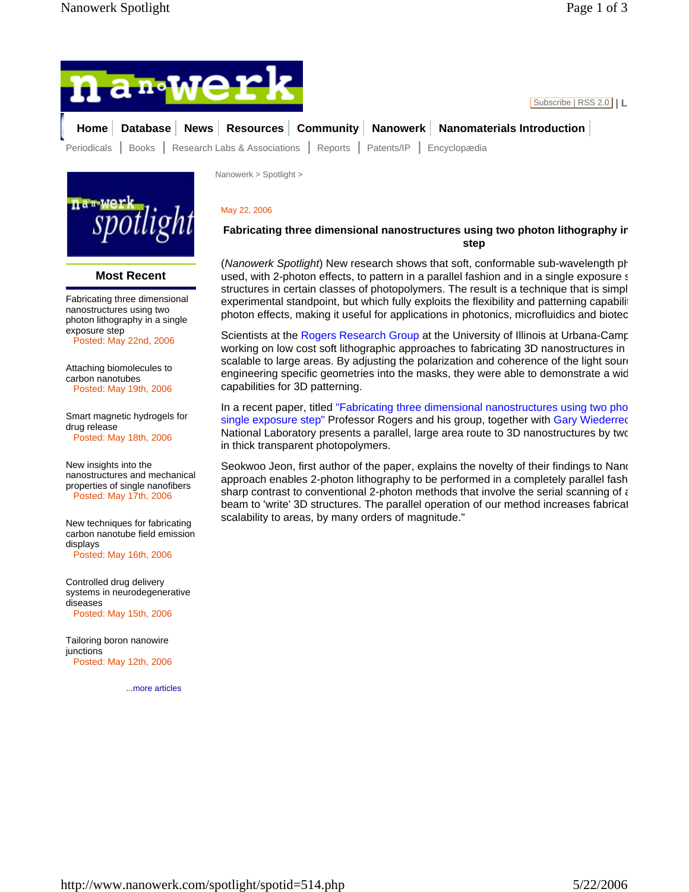



## **Most Recent**

Fabricating three dimensional nanostructures using two photon lithography in a single exposure step

Posted: May 22nd, 2006

Attaching biomolecules to carbon nanotubes Posted: May 19th, 2006

Smart magnetic hydrogels for drug release Posted: May 18th, 2006

New insights into the nanostructures and mechanical properties of single nanofibers Posted: May 17th, 2006

New techniques for fabricating carbon nanotube field emission displays Posted: May 16th, 2006

Controlled drug delivery systems in neurodegenerative diseases Posted: May 15th, 2006

Tailoring boron nanowire iunctions Posted: May 12th, 2006

...more articles

Nanowerk > Spotlight >

## May 22, 2006

## **Fabricating three dimensional nanostructures using two photon lithography in step**

(*Nanowerk Spotlight*) New research shows that soft, conformable sub-wavelength ph used, with 2-photon effects, to pattern in a parallel fashion and in a single exposure s structures in certain classes of photopolymers. The result is a technique that is simpl experimental standpoint, but which fully exploits the flexibility and patterning capability photon effects, making it useful for applications in photonics, microfluidics and biotec

Scientists at the Rogers Research Group at the University of Illinois at Urbana-Camp working on low cost soft lithographic approaches to fabricating 3D nanostructures in scalable to large areas. By adjusting the polarization and coherence of the light soure engineering specific geometries into the masks, they were able to demonstrate a wid capabilities for 3D patterning.

In a recent paper, titled "Fabricating three dimensional nanostructures using two pho single exposure step" Professor Rogers and his group, together with Gary Wiederrec National Laboratory presents a parallel, large area route to 3D nanostructures by two in thick transparent photopolymers.

Seokwoo Jeon, first author of the paper, explains the novelty of their findings to Nano approach enables 2-photon lithography to be performed in a completely parallel fash sharp contrast to conventional 2-photon methods that involve the serial scanning of  $\epsilon$ beam to 'write' 3D structures. The parallel operation of our method increases fabricat scalability to areas, by many orders of magnitude."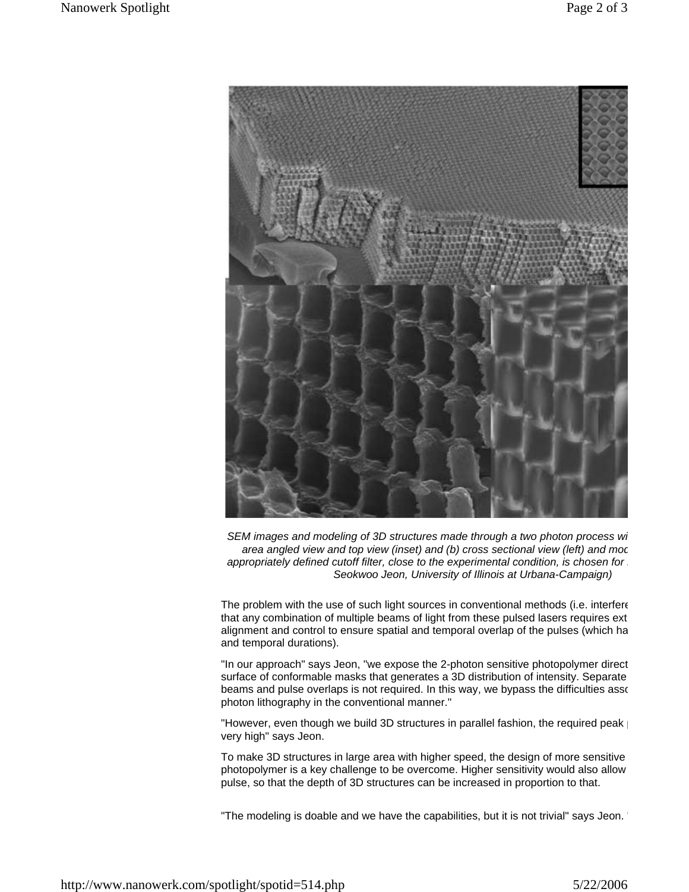

*SEM images and modeling of 3D structures made through a two photon process wi area angled view and top view (inset) and (b) cross sectional view (left) and mod appropriately defined cutoff filter, close to the experimental condition, is chosen for m Seokwoo Jeon, University of Illinois at Urbana-Campaign)* 

The problem with the use of such light sources in conventional methods (i.e. interfere that any combination of multiple beams of light from these pulsed lasers requires ext alignment and control to ensure spatial and temporal overlap of the pulses (which ha and temporal durations).

"In our approach" says Jeon, "we expose the 2-photon sensitive photopolymer direct surface of conformable masks that generates a 3D distribution of intensity. Separate beams and pulse overlaps is not required. In this way, we bypass the difficulties asso photon lithography in the conventional manner."

"However, even though we build 3D structures in parallel fashion, the required peak | very high" says Jeon.

To make 3D structures in large area with higher speed, the design of more sensitive photopolymer is a key challenge to be overcome. Higher sensitivity would also allow pulse, so that the depth of 3D structures can be increased in proportion to that.

"The modeling is doable and we have the capabilities, but it is not trivial" says Jeon. "